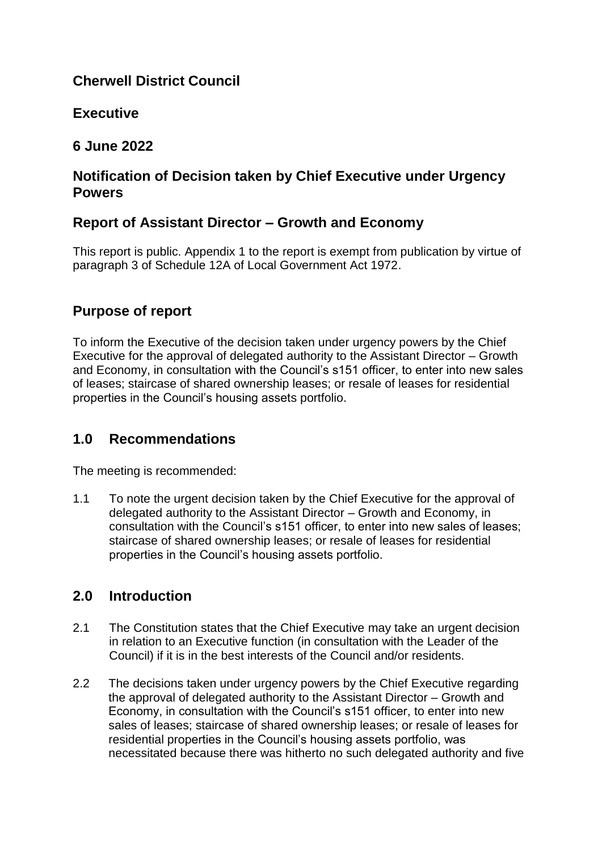# **Cherwell District Council**

# **Executive**

# **6 June 2022**

# **Notification of Decision taken by Chief Executive under Urgency Powers**

# **Report of Assistant Director – Growth and Economy**

This report is public. Appendix 1 to the report is exempt from publication by virtue of paragraph 3 of Schedule 12A of Local Government Act 1972.

# **Purpose of report**

To inform the Executive of the decision taken under urgency powers by the Chief Executive for the approval of delegated authority to the Assistant Director – Growth and Economy, in consultation with the Council's s151 officer, to enter into new sales of leases; staircase of shared ownership leases; or resale of leases for residential properties in the Council's housing assets portfolio.

### **1.0 Recommendations**

The meeting is recommended:

1.1 To note the urgent decision taken by the Chief Executive for the approval of delegated authority to the Assistant Director – Growth and Economy, in consultation with the Council's s151 officer, to enter into new sales of leases; staircase of shared ownership leases; or resale of leases for residential properties in the Council's housing assets portfolio.

### **2.0 Introduction**

- 2.1 The Constitution states that the Chief Executive may take an urgent decision in relation to an Executive function (in consultation with the Leader of the Council) if it is in the best interests of the Council and/or residents.
- 2.2 The decisions taken under urgency powers by the Chief Executive regarding the approval of delegated authority to the Assistant Director – Growth and Economy, in consultation with the Council's s151 officer, to enter into new sales of leases; staircase of shared ownership leases; or resale of leases for residential properties in the Council's housing assets portfolio, was necessitated because there was hitherto no such delegated authority and five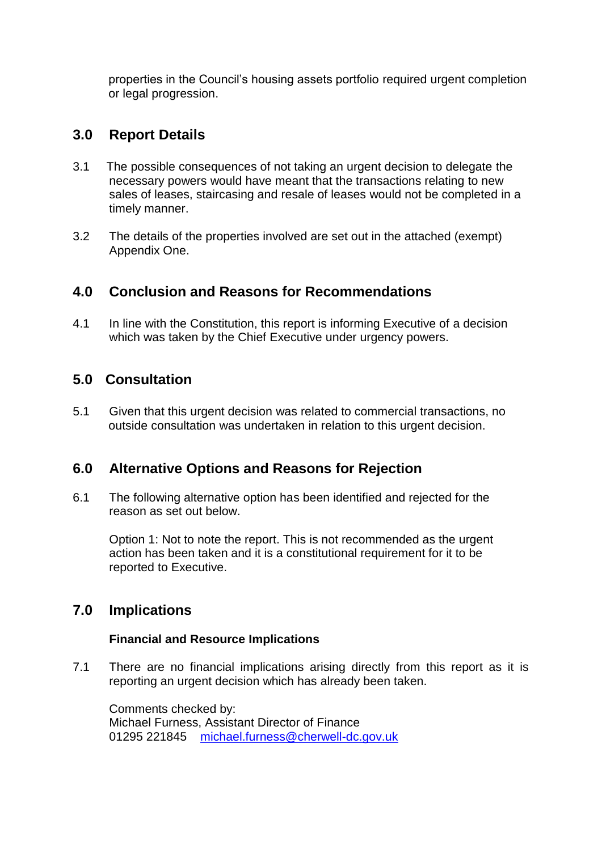properties in the Council's housing assets portfolio required urgent completion or legal progression.

### **3.0 Report Details**

- 3.1 The possible consequences of not taking an urgent decision to delegate the necessary powers would have meant that the transactions relating to new sales of leases, staircasing and resale of leases would not be completed in a timely manner.
- 3.2 The details of the properties involved are set out in the attached (exempt) Appendix One.

# **4.0 Conclusion and Reasons for Recommendations**

4.1 In line with the Constitution, this report is informing Executive of a decision which was taken by the Chief Executive under urgency powers.

# **5.0 Consultation**

5.1 Given that this urgent decision was related to commercial transactions, no outside consultation was undertaken in relation to this urgent decision.

### **6.0 Alternative Options and Reasons for Rejection**

6.1 The following alternative option has been identified and rejected for the reason as set out below.

Option 1: Not to note the report. This is not recommended as the urgent action has been taken and it is a constitutional requirement for it to be reported to Executive.

# **7.0 Implications**

#### **Financial and Resource Implications**

7.1 There are no financial implications arising directly from this report as it is reporting an urgent decision which has already been taken.

Comments checked by: Michael Furness, Assistant Director of Finance 01295 221845 [michael.furness@cherwell-dc.gov.uk](mailto:michael.furness@cherwell-dc.gov.uk)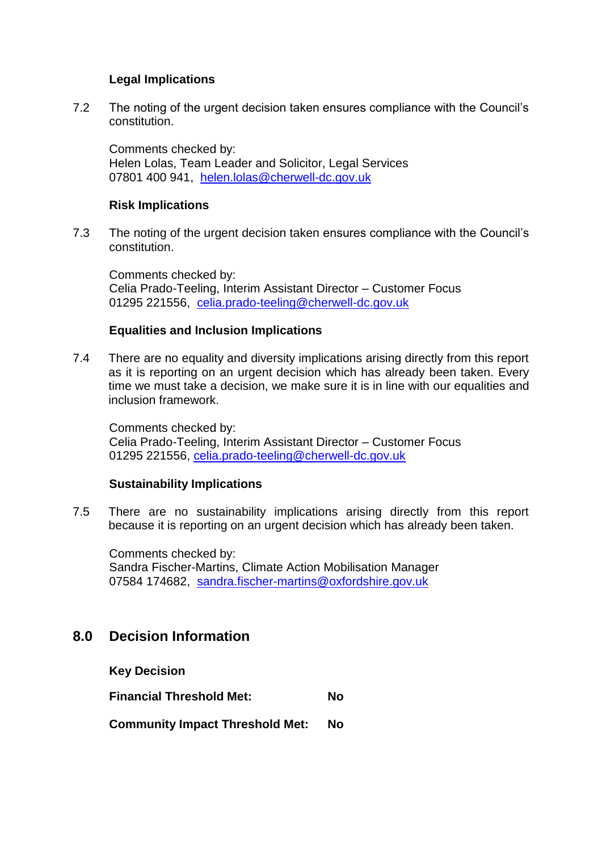#### **Legal Implications**

7.2 The noting of the urgent decision taken ensures compliance with the Council's constitution.

Comments checked by: Helen Lolas, Team Leader and Solicitor, Legal Services 07801 400 941, [helen.lolas@cherwell-dc.gov.uk](mailto:helen.lolas@cherwell-dc.gov.uk)

#### **Risk Implications**

7.3 The noting of the urgent decision taken ensures compliance with the Council's constitution.

Comments checked by: Celia Prado-Teeling, Interim Assistant Director – Customer Focus 01295 221556, [celia.prado-teeling@cherwell-dc.gov.uk](mailto:celia.pradoteeling@cherwell-dc.gov.uk)

#### **Equalities and Inclusion Implications**

7.4 There are no equality and diversity implications arising directly from this report as it is reporting on an urgent decision which has already been taken. Every time we must take a decision, we make sure it is in line with our equalities and inclusion framework.

Comments checked by: Celia Prado-Teeling, Interim Assistant Director – Customer Focus 01295 221556, [celia.prado-teeling@cherwell-dc.gov.uk](mailto:celia.prado-teeling@cherwell-dc.gov.uk)

#### **Sustainability Implications**

7.5 There are no sustainability implications arising directly from this report because it is reporting on an urgent decision which has already been taken.

Comments checked by: Sandra Fischer-Martins, Climate Action Mobilisation Manager 07584 174682, [sandra.fischer-martins@oxfordshire.gov.uk](mailto:sandra.fischer-martins@oxfordshire.gov.uk)

### **8.0 Decision Information**

**Key Decision** 

**Financial Threshold Met: No Community Impact Threshold Met: No**